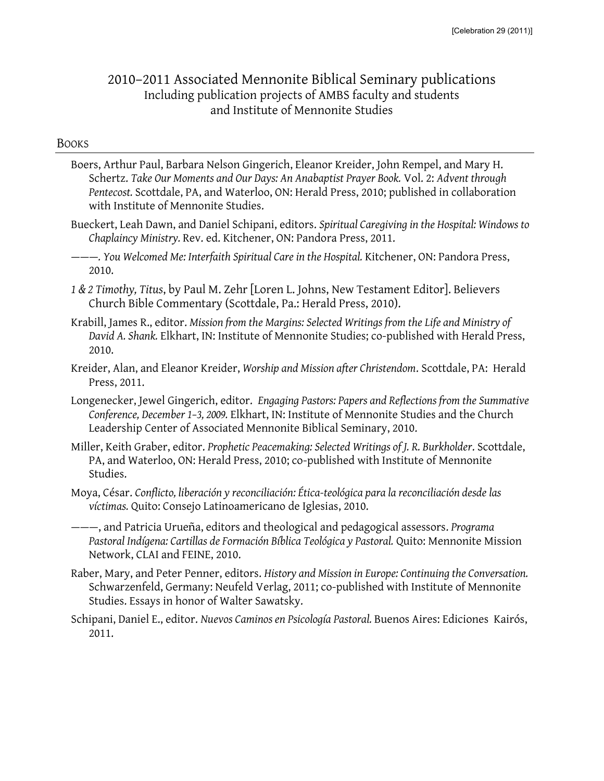# 2010–2011 Associated Mennonite Biblical Seminary publications Including publication projects of AMBS faculty and students and Institute of Mennonite Studies

#### **BOOKS**

- Boers, Arthur Paul, Barbara Nelson Gingerich, Eleanor Kreider, John Rempel, and Mary H. Schertz. *Take Our Moments and Our Days: An Anabaptist Prayer Book.* Vol. 2: *Advent through Pentecost.* Scottdale, PA, and Waterloo, ON: Herald Press, 2010; published in collaboration with Institute of Mennonite Studies.
- Bueckert, Leah Dawn, and Daniel Schipani, editors. *Spiritual Caregiving in the Hospital: Windows to Chaplaincy Ministry.* Rev. ed. Kitchener, ON: Pandora Press, 2011.
- ———*. You Welcomed Me: Interfaith Spiritual Care in the Hospital.* Kitchener, ON: Pandora Press, 2010.
- *1 & 2 Timothy, Titus*, by Paul M. Zehr [Loren L. Johns, New Testament Editor]. Believers Church Bible Commentary (Scottdale, Pa.: Herald Press, 2010).
- Krabill, James R., editor. *Mission from the Margins: Selected Writings from the Life and Ministry of David A. Shank.* Elkhart, IN: Institute of Mennonite Studies; co-published with Herald Press, 2010.
- Kreider, Alan, and Eleanor Kreider, *Worship and Mission after Christendom*. Scottdale, PA: Herald Press, 2011.
- Longenecker, Jewel Gingerich, editor. *Engaging Pastors: Papers and Reflections from the Summative Conference, December 1–3, 2009.* Elkhart, IN: Institute of Mennonite Studies and the Church Leadership Center of Associated Mennonite Biblical Seminary, 2010.
- Miller, Keith Graber, editor. *Prophetic Peacemaking: Selected Writings of J. R. Burkholder*. Scottdale, PA, and Waterloo, ON: Herald Press, 2010; co-published with Institute of Mennonite Studies.
- Moya, César. *Conflicto, liberación y reconciliación: Ética-teológica para la reconciliación desde las víctimas.* Quito: Consejo Latinoamericano de Iglesias, 2010.
- ———, and Patricia Urueña, editors and theological and pedagogical assessors. *Programa Pastoral Indígena: Cartillas de Formación Bíblica Teológica y Pastoral.* Quito: Mennonite Mission Network, CLAI and FEINE, 2010.
- Raber, Mary, and Peter Penner, editors. *History and Mission in Europe: Continuing the Conversation.*  Schwarzenfeld, Germany: Neufeld Verlag, 2011; co-published with Institute of Mennonite Studies. Essays in honor of Walter Sawatsky.
- Schipani, Daniel E., editor. *Nuevos Caminos en Psicología Pastoral.* Buenos Aires: Ediciones Kairós, 2011.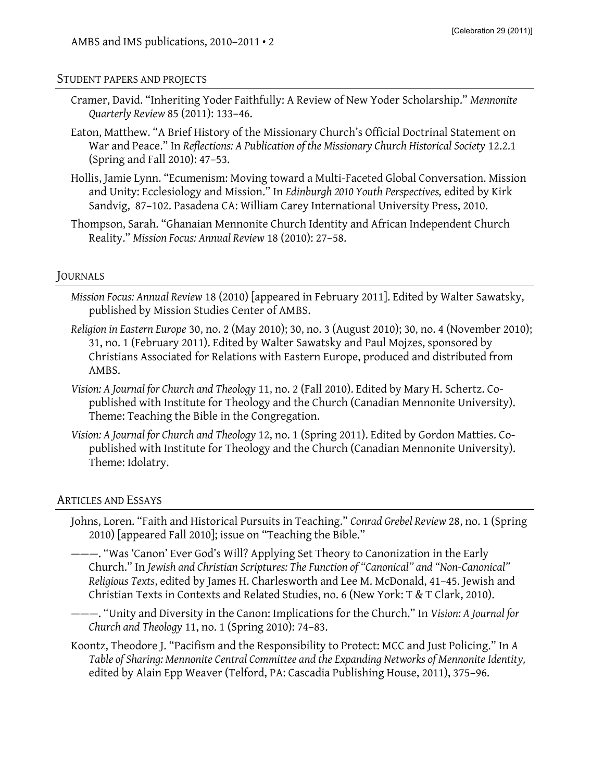#### STUDENT PAPERS AND PROJECTS

- Cramer, David. "Inheriting Yoder Faithfully: A Review of New Yoder Scholarship." *Mennonite Quarterly Review* 85 (2011): 133–46.
- Eaton, Matthew. "A Brief History of the Missionary Church's Official Doctrinal Statement on War and Peace." In *Reflections: A Publication of the Missionary Church Historical Society* 12.2.1 (Spring and Fall 2010): 47–53.
- Hollis, Jamie Lynn. "Ecumenism: Moving toward a Multi-Faceted Global Conversation. Mission and Unity: Ecclesiology and Mission." In *Edinburgh 2010 Youth Perspectives,* edited by Kirk Sandvig, 87–102. Pasadena CA: William Carey International University Press, 2010.
- Thompson, Sarah. "Ghanaian Mennonite Church Identity and African Independent Church Reality." *Mission Focus: Annual Review* 18 (2010): 27–58.

## JOURNALS

- *Mission Focus: Annual Review* 18 (2010) [appeared in February 2011]. Edited by Walter Sawatsky, published by Mission Studies Center of AMBS.
- *Religion in Eastern Europe* 30, no. 2 (May 2010); 30, no. 3 (August 2010); 30, no. 4 (November 2010); 31, no. 1 (February 2011). Edited by Walter Sawatsky and Paul Mojzes, sponsored by Christians Associated for Relations with Eastern Europe, produced and distributed from AMBS.
- *Vision: A Journal for Church and Theology* 11, no. 2 (Fall 2010). Edited by Mary H. Schertz. Copublished with Institute for Theology and the Church (Canadian Mennonite University). Theme: Teaching the Bible in the Congregation.
- *Vision: A Journal for Church and Theology* 12, no. 1 (Spring 2011). Edited by Gordon Matties. Copublished with Institute for Theology and the Church (Canadian Mennonite University). Theme: Idolatry.

### ARTICLES AND ESSAYS

- Johns, Loren. "Faith and Historical Pursuits in Teaching." *Conrad Grebel Review* 28, no. 1 (Spring 2010) [appeared Fall 2010]; issue on "Teaching the Bible."
- ———. "Was 'Canon' Ever God's Will? Applying Set Theory to Canonization in the Early Church." In *Jewish and Christian Scriptures: The Function of "Canonical" and "Non-Canonical" Religious Texts*, edited by James H. Charlesworth and Lee M. McDonald, 41–45. Jewish and Christian Texts in Contexts and Related Studies, no. 6 (New York: T & T Clark, 2010).
- ———. "Unity and Diversity in the Canon: Implications for the Church." In *Vision: A Journal for Church and Theology* 11, no. 1 (Spring 2010): 74–83.
- Koontz, Theodore J. "Pacifism and the Responsibility to Protect: MCC and Just Policing." In *A Table of Sharing: Mennonite Central Committee and the Expanding Networks of Mennonite Identity,* edited by Alain Epp Weaver (Telford, PA: Cascadia Publishing House, 2011), 375–96.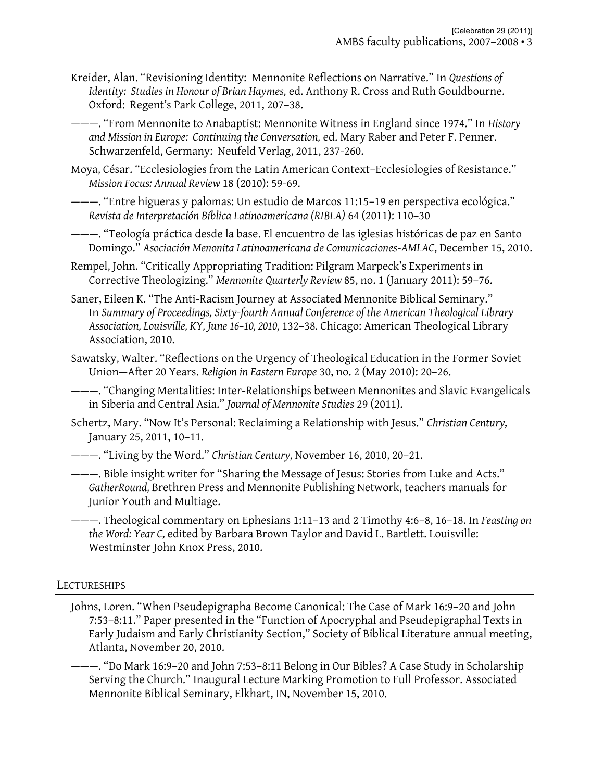Kreider, Alan. "Revisioning Identity: Mennonite Reflections on Narrative." In *Questions of Identity: Studies in Honour of Brian Haymes,* ed. Anthony R. Cross and Ruth Gouldbourne. Oxford: Regent's Park College, 2011, 207–38.

———. "From Mennonite to Anabaptist: Mennonite Witness in England since 1974." In *History and Mission in Europe: Continuing the Conversation,* ed. Mary Raber and Peter F. Penner. Schwarzenfeld, Germany: Neufeld Verlag, 2011, 237-260.

Moya, César. "Ecclesiologies from the Latin American Context–Ecclesiologies of Resistance." *Mission Focus: Annual Review* 18 (2010): 59-69.

———. "Entre higueras y palomas: Un estudio de Marcos 11:15–19 en perspectiva ecológica." *Revista de Interpretación Bíblica Latinoamericana (RIBLA)* 64 (2011): 110–30

———. "Teología práctica desde la base. El encuentro de las iglesias históricas de paz en Santo Domingo." *Asociación Menonita Latinoamericana de Comunicaciones-AMLAC*, December 15, 2010.

Rempel, John. "Critically Appropriating Tradition: Pilgram Marpeck's Experiments in Corrective Theologizing." *Mennonite Quarterly Review* 85, no. 1 (January 2011): 59–76.

Saner, Eileen K. "The Anti-Racism Journey at Associated Mennonite Biblical Seminary." In *Summary of Proceedings, Sixty-fourth Annual Conference of the American Theological Library Association, Louisville, KY, June 16–10, 2010,* 132–38*.* Chicago: American Theological Library Association, 2010.

Sawatsky, Walter. "Reflections on the Urgency of Theological Education in the Former Soviet Union—After 20 Years. *Religion in Eastern Europe* 30, no. 2 (May 2010): 20–26.

———. "Changing Mentalities: Inter-Relationships between Mennonites and Slavic Evangelicals in Siberia and Central Asia." *Journal of Mennonite Studies* 29 (2011).

Schertz, Mary. "Now It's Personal: Reclaiming a Relationship with Jesus." *Christian Century,*  January 25, 2011, 10–11.

———. "Living by the Word." *Christian Century,* November 16, 2010, 20–21.

———. Bible insight writer for "Sharing the Message of Jesus: Stories from Luke and Acts." *GatherRound,* Brethren Press and Mennonite Publishing Network, teachers manuals for Junior Youth and Multiage.

———. Theological commentary on Ephesians 1:11–13 and 2 Timothy 4:6–8, 16–18. In *Feasting on the Word: Year C,* edited by Barbara Brown Taylor and David L. Bartlett. Louisville: Westminster John Knox Press, 2010.

## **LECTURESHIPS**

Johns, Loren. "When Pseudepigrapha Become Canonical: The Case of Mark 16:9–20 and John 7:53–8:11." Paper presented in the "Function of Apocryphal and Pseudepigraphal Texts in Early Judaism and Early Christianity Section," Society of Biblical Literature annual meeting, Atlanta, November 20, 2010.

———. "Do Mark 16:9–20 and John 7:53–8:11 Belong in Our Bibles? A Case Study in Scholarship Serving the Church." Inaugural Lecture Marking Promotion to Full Professor. Associated Mennonite Biblical Seminary, Elkhart, IN, November 15, 2010.